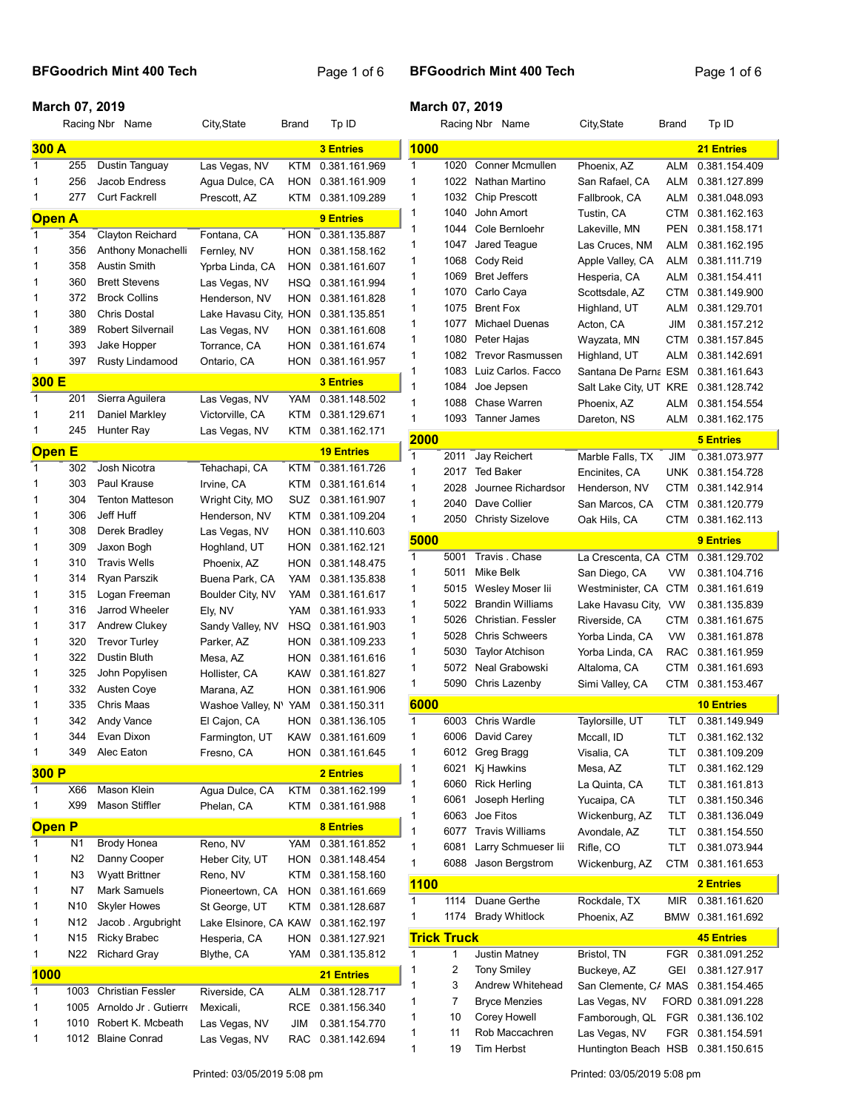## BFGoodrich Mint 400 Tech Page 1 of 6

## March 07, 2019

## March 07, 2019

|               |                 | Racing Nbr Name            | City, State                       | <b>Brand</b> | Tp ID                          |              |                    | Racing Nbr Name         | City, State                        | Brand      | Tp ID              |
|---------------|-----------------|----------------------------|-----------------------------------|--------------|--------------------------------|--------------|--------------------|-------------------------|------------------------------------|------------|--------------------|
| 300 A         |                 |                            |                                   |              | <b>3 Entries</b>               | 1000         |                    |                         |                                    |            | <b>21 Entries</b>  |
| $\mathbf{1}$  | 255             | Dustin Tanguay             | Las Vegas, NV                     | <b>KTM</b>   | 0.381.161.969                  | $\mathbf{1}$ | 1020               | <b>Conner Mcmullen</b>  | Phoenix. AZ                        | <b>ALM</b> | 0.381.154.409      |
| 1             | 256             | Jacob Endress              | Agua Dulce, CA                    | HON          | 0.381.161.909                  | 1            | 1022               | Nathan Martino          | San Rafael, CA                     | ALM        | 0.381.127.899      |
| 1             | 277             | <b>Curt Fackrell</b>       | Prescott, AZ                      | <b>KTM</b>   | 0.381.109.289                  | 1            | 1032               | <b>Chip Prescott</b>    | Fallbrook, CA                      | ALM        | 0.381.048.093      |
| <b>Open A</b> |                 |                            |                                   |              | 9 Entries                      | 1            | 1040               | John Amort              | Tustin, CA                         | CTM        | 0.381.162.163      |
| 1             | 354             | Clayton Reichard           | Fontana, CA                       | HON          | 0.381.135.887                  | 1            | 1044               | Cole Bernloehr          | Lakeville, MN                      | <b>PEN</b> | 0.381.158.171      |
| 1             | 356             | Anthony Monachelli         | Fernley, NV                       | HON          | 0.381.158.162                  | 1            | 1047               | Jared Teague            | Las Cruces, NM                     | ALM        | 0.381.162.195      |
| 1             | 358             | Austin Smith               | Yprba Linda, CA                   | <b>HON</b>   | 0.381.161.607                  | 1            | 1068               | Cody Reid               | Apple Valley, CA                   | ALM        | 0.381.111.719      |
| 1             | 360             | <b>Brett Stevens</b>       | Las Vegas, NV                     | HSQ          | 0.381.161.994                  | 1            | 1069               | <b>Bret Jeffers</b>     | Hesperia, CA                       | ALM        | 0.381.154.411      |
| 1             | 372             | <b>Brock Collins</b>       | Henderson, NV                     | <b>HON</b>   | 0.381.161.828                  | 1            | 1070               | Carlo Caya              | Scottsdale, AZ                     | CTM        | 0.381.149.900      |
| 1             | 380             | <b>Chris Dostal</b>        | Lake Havasu City,                 | <b>HON</b>   | 0.381.135.851                  | 1            | 1075               | <b>Brent Fox</b>        | Highland, UT                       | ALM        | 0.381.129.701      |
| 1             | 389             | <b>Robert Silvernail</b>   | Las Vegas, NV                     | HON          | 0.381.161.608                  | 1            | 1077               | <b>Michael Duenas</b>   | Acton, CA                          | <b>JIM</b> | 0.381.157.212      |
| 1             | 393             | Jake Hopper                | Torrance, CA                      | HON          | 0.381.161.674                  | 1            | 1080               | Peter Hajas             | Wayzata, MN                        | CTM        | 0.381.157.845      |
| 1             | 397             | <b>Rusty Lindamood</b>     | Ontario, CA                       | HON          | 0.381.161.957                  | 1            | 1082               | <b>Trevor Rasmussen</b> | Highland, UT                       | ALM        | 0.381.142.691      |
| 300 E         |                 |                            |                                   |              | <b>3 Entries</b>               | 1            | 1083               | Luiz Carlos. Facco      | Santana De Parna ESM               |            | 0.381.161.643      |
| 1             | 201             | Sierra Aguilera            | Las Vegas, NV                     | YAM          | 0.381.148.502                  | 1            | 1084               | Joe Jepsen              | Salt Lake City, UT KRE             |            | 0.381.128.742      |
| 1             | 211             | Daniel Markley             | Victorville, CA                   | KTM          | 0.381.129.671                  | 1            | 1088               | Chase Warren            | Phoenix, AZ                        | ALM        | 0.381.154.554      |
| 1             | 245             | Hunter Ray                 | Las Vegas, NV                     | <b>KTM</b>   | 0.381.162.171                  | 1            | 1093               | <b>Tanner James</b>     | Dareton, NS                        | ALM        | 0.381.162.175      |
|               |                 |                            |                                   |              |                                | 2000         |                    |                         |                                    |            | <b>5 Entries</b>   |
| <b>Open E</b> |                 |                            |                                   |              | <b>19 Entries</b>              | 1            | 2011               | Jay Reichert            | Marble Falls, TX                   | JIM        | 0.381.073.977      |
| 1             | 302             | Josh Nicotra               | Tehachapi, CA                     | <b>KTM</b>   | 0.381.161.726                  | 1            | 2017               | <b>Ted Baker</b>        | Encinites, CA                      | UNK.       | 0.381.154.728      |
| 1             | 303             | Paul Krause                | Irvine, CA                        | KTM          | 0.381.161.614                  | 1            | 2028               | Journee Richardsor      | Henderson, NV                      | CTM        | 0.381.142.914      |
| 1             | 304             | <b>Tenton Matteson</b>     | Wright City, MO                   | SUZ          | 0.381.161.907                  | 1            | 2040               | Dave Collier            | San Marcos, CA                     | CTM        | 0.381.120.779      |
| 1             | 306             | Jeff Huff                  | Henderson, NV                     | KTM          | 0.381.109.204                  | $\mathbf{1}$ | 2050               | <b>Christy Sizelove</b> | Oak Hils, CA                       | CTM        | 0.381.162.113      |
| 1             | 308             | Derek Bradley              | Las Vegas, NV                     | HON          | 0.381.110.603                  | 5000         |                    |                         |                                    |            | 9 Entries          |
| 1             | 309             | Jaxon Bogh                 | Hoghland, UT                      | HON          | 0.381.162.121                  | $\mathbf{1}$ | 5001               | Travis . Chase          | La Crescenta, CA CTM               |            | 0.381.129.702      |
| 1             | 310             | <b>Travis Wells</b>        | Phoenix, AZ                       | HON          | 0.381.148.475                  | 1            | 5011               | Mike Belk               | San Diego, CA                      | VW         | 0.381.104.716      |
| 1             | 314             | Ryan Parszik               | Buena Park, CA                    | YAM          | 0.381.135.838                  | 1            | 5015               | Wesley Moser lii        | Westminister, CA CTM               |            | 0.381.161.619      |
| 1             | 315             | Logan Freeman              | Boulder City, NV                  | YAM          | 0.381.161.617                  | 1            | 5022               | <b>Brandin Williams</b> | Lake Havasu City,                  | VW         | 0.381.135.839      |
| 1             | 316             | Jarrod Wheeler             | Ely, NV                           | YAM          | 0.381.161.933                  | 1            | 5026               | Christian. Fessler      | Riverside, CA                      | CTM        | 0.381.161.675      |
| 1             | 317             | Andrew Clukey              | Sandy Valley, NV                  | HSQ          | 0.381.161.903                  | 1            | 5028               | <b>Chris Schweers</b>   | Yorba Linda, CA                    | <b>VW</b>  | 0.381.161.878      |
| 1             | 320             | <b>Trevor Turley</b>       | Parker, AZ                        | HON          | 0.381.109.233                  | 1            | 5030               | <b>Taylor Atchison</b>  | Yorba Linda, CA                    | <b>RAC</b> | 0.381.161.959      |
| 1             | 322<br>325      | Dustin Bluth               | Mesa, AZ                          | HON          | 0.381.161.616                  | 1            | 5072               | Neal Grabowski          | Altaloma, CA                       | CTM        | 0.381.161.693      |
| 1<br>1        | 332             | John Popylisen             | Hollister, CA                     | <b>KAW</b>   | 0.381.161.827                  | 1            |                    | 5090 Chris Lazenby      | Simi Valley, CA                    |            | CTM 0.381.153.467  |
| 1             | 335             | Austen Coye<br>Chris Maas  | Marana, AZ                        | HON<br>YAM   | 0.381.161.906<br>0.381.150.311 | 6000         |                    |                         |                                    |            | <b>10 Entries</b>  |
| 1             | 342             | Andy Vance                 | Washoe Valley, N'<br>El Cajon, CA | <b>HON</b>   | 0.381.136.105                  | $\mathbf{1}$ | 6003               | <b>Chris Wardle</b>     | Taylorsille, UT                    | TLT        | 0.381.149.949      |
| 1             | 344             | Evan Dixon                 | Farmington, UT                    | KAW          | 0.381.161.609                  | 1            |                    | 6006 David Carey        | Mccall, ID                         | TLT        | 0.381.162.132      |
| 1             | 349             | Alec Eaton                 | Fresno, CA                        |              | HON 0.381.161.645              | 1            |                    | 6012 Greg Bragg         | Visalia, CA                        | TLT        | 0.381.109.209      |
|               |                 |                            |                                   |              |                                | 1            | 6021               | Kj Hawkins              | Mesa, AZ                           | TLT        | 0.381.162.129      |
| 300 P         |                 |                            |                                   |              | <b>2 Entries</b>               | 1            | 6060               | <b>Rick Herling</b>     | La Quinta, CA                      | TLT        | 0.381.161.813      |
| $\mathbf{1}$  | X66             | <b>Mason Klein</b>         | Agua Dulce, CA                    | <b>KTM</b>   | 0.381.162.199                  | 1            | 6061               | Joseph Herling          | Yucaipa, CA                        | TLT        | 0.381.150.346      |
| 1             | X99             | Mason Stiffler             | Phelan, CA                        | KTM          | 0.381.161.988                  | 1            | 6063               | Joe Fitos               | Wickenburg, AZ                     | TLT        | 0.381.136.049      |
| <b>Open P</b> |                 |                            |                                   |              | <b>8 Entries</b>               | 1            | 6077               | <b>Travis Williams</b>  | Avondale, AZ                       | TLT        | 0.381.154.550      |
| $\mathbf{1}$  | N1              | <b>Brody Honea</b>         | Reno, NV                          | YAM          | 0.381.161.852                  | 1            | 6081               | Larry Schmueser lii     | Rifle, CO                          | TLT        | 0.381.073.944      |
| 1             | N <sub>2</sub>  | Danny Cooper               | Heber City, UT                    | HON          | 0.381.148.454                  | 1            | 6088               | Jason Bergstrom         | Wickenburg, AZ                     | CTM        | 0.381.161.653      |
| 1             | N <sub>3</sub>  | <b>Wyatt Brittner</b>      | Reno, NV                          | KTM          | 0.381.158.160                  |              |                    |                         |                                    |            |                    |
| 1             | N7              | Mark Samuels               | Pioneertown, CA                   | <b>HON</b>   | 0.381.161.669                  | <b>1100</b>  |                    |                         |                                    |            | 2 Entries          |
| 1             | N <sub>10</sub> | <b>Skyler Howes</b>        | St George, UT                     | <b>KTM</b>   | 0.381.128.687                  | 1            | 1114               | Duane Gerthe            | Rockdale, TX                       | <b>MIR</b> | 0.381.161.620      |
| 1             | N <sub>12</sub> | Jacob. Argubright          | Lake Elsinore, CA KAW             |              | 0.381.162.197                  | 1            | 1174               | <b>Brady Whitlock</b>   | Phoenix, AZ                        | BMW        | 0.381.161.692      |
| 1             | N <sub>15</sub> | <b>Ricky Brabec</b>        | Hesperia, CA                      | HON          | 0.381.127.921                  |              | <b>Trick Truck</b> |                         |                                    |            | <b>45 Entries</b>  |
| 1             | N <sub>22</sub> | <b>Richard Gray</b>        | Blythe, CA                        | YAM          | 0.381.135.812                  | $\mathbf{1}$ | $\mathbf{1}$       | Justin Matney           | Bristol, TN                        |            | FGR 0.381.091.252  |
| <b>1000</b>   |                 |                            |                                   |              | 21 Entries                     | 1            | 2                  | <b>Tony Smiley</b>      | Buckeye, AZ                        | GEI        | 0.381.127.917      |
| $\mathbf{1}$  | 1003            | <b>Christian Fessler</b>   | Riverside, CA                     | <b>ALM</b>   | 0.381.128.717                  | 1            | 3                  | Andrew Whitehead        | San Clemente, C/ MAS               |            | 0.381.154.465      |
| 1             |                 | 1005 Arnoldo Jr . Gutierre | Mexicali,                         | <b>RCE</b>   | 0.381.156.340                  | 1            | 7                  | Bryce Menzies           | Las Vegas, NV                      |            | FORD 0.381.091.228 |
| 1             |                 | 1010 Robert K. Mcbeath     | Las Vegas, NV                     | JIM          | 0.381.154.770                  | 1            | 10                 | Corey Howell            | Famborough, QL                     |            | FGR 0.381.136.102  |
| 1             |                 | 1012 Blaine Conrad         | Las Vegas, NV                     | RAC          | 0.381.142.694                  | 1            | 11                 | Rob Maccachren          | Las Vegas, NV                      |            | FGR 0.381.154.591  |
|               |                 |                            |                                   |              |                                | 1            | 19                 | Tim Herbst              | Huntington Beach HSB 0.381.150.615 |            |                    |

Printed: 03/05/2019 5:08 pm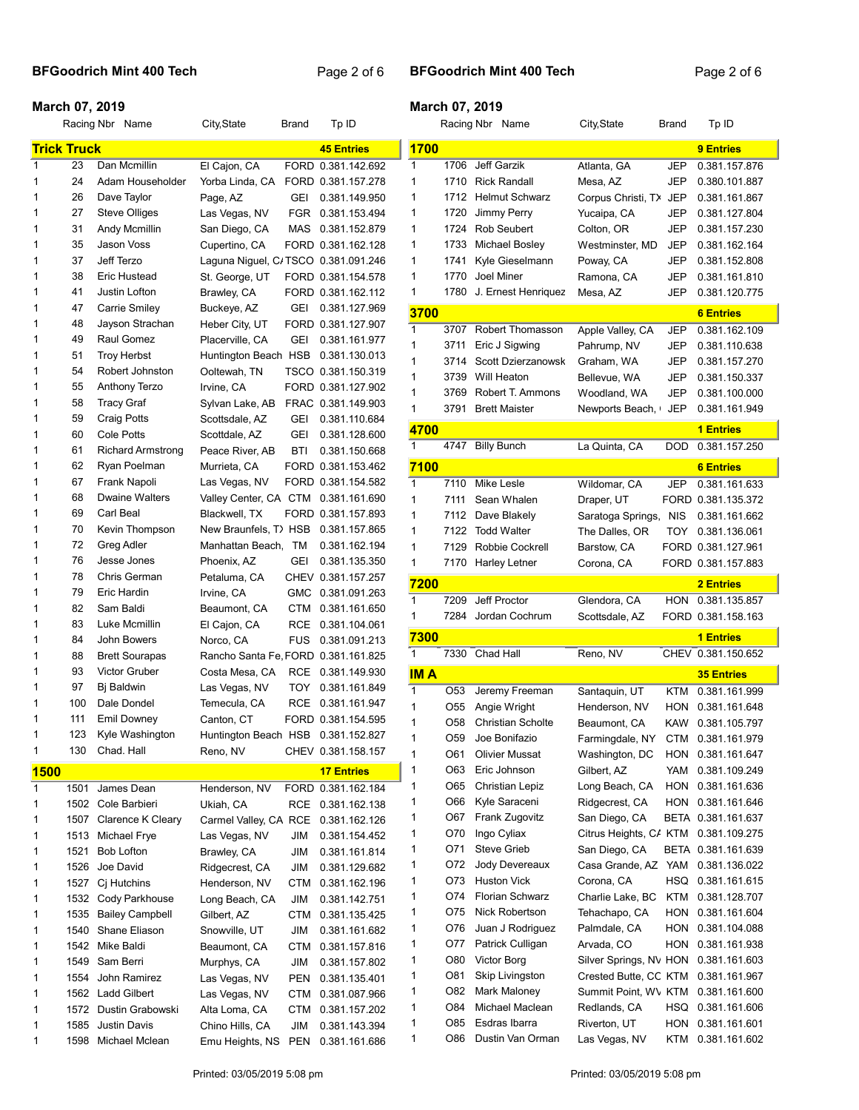#### BFGoodrich Mint 400 Tech Page 2 of 6

|              |                    | Racing Nbr Name          | City, State                         | Brand      | Tp ID              |              |
|--------------|--------------------|--------------------------|-------------------------------------|------------|--------------------|--------------|
|              | <b>Trick Truck</b> |                          |                                     |            | <b>45 Entries</b>  | 17           |
| 1            | 23                 | Dan Mcmillin             | El Cajon, CA                        |            | FORD 0.381.142.692 | 1            |
| 1            | 24                 | Adam Householder         | Yorba Linda, CA                     |            | FORD 0.381.157.278 | 1            |
| 1            | 26                 | Dave Taylor              | Page, AZ                            | GEI        | 0.381.149.950      | 1            |
| 1            | 27                 | <b>Steve Olliges</b>     | Las Vegas, NV                       | FGR        | 0.381.153.494      | 1            |
| 1            | 31                 | Andy Mcmillin            | San Diego, CA                       | MAS        | 0.381.152.879      | 1            |
| 1            | 35                 | Jason Voss               | Cupertino, CA                       |            | FORD 0.381.162.128 | 1            |
| 1            | 37                 | Jeff Terzo               | Laguna Niguel, C/TSCO 0.381.091.246 |            |                    | 1            |
| 1            | 38                 | Eric Hustead             | St. George, UT                      |            | FORD 0.381.154.578 | 1            |
| 1            | 41                 | Justin Lofton            | Brawley, CA                         |            | FORD 0.381.162.112 | 1            |
| 1            | 47                 | Carrie Smiley            | Buckeye, AZ                         | GEI        | 0.381.127.969      | 37           |
| 1            | 48                 | Jayson Strachan          | Heber City, UT                      |            | FORD 0.381.127.907 | 1            |
| 1            | 49                 | Raul Gomez               | Placerville, CA                     | GEI        | 0.381.161.977      | 1            |
| 1            | 51                 | <b>Troy Herbst</b>       | Huntington Beach HSB                |            | 0.381.130.013      | 1            |
| 1            | 54                 | Robert Johnston          | Ooltewah, TN                        |            | TSCO 0.381.150.319 | 1            |
| 1            | 55                 | Anthony Terzo            | Irvine, CA                          |            | FORD 0.381.127.902 | 1            |
| 1            | 58                 | <b>Tracy Graf</b>        | Sylvan Lake, AB                     |            | FRAC 0.381.149.903 | 1            |
| 1            | 59                 | <b>Craig Potts</b>       | Scottsdale, AZ                      | <b>GEI</b> | 0.381.110.684      |              |
| 1            | 60                 | Cole Potts               | Scottdale, AZ                       | GEI        | 0.381.128.600      | 47           |
| 1            | 61                 | <b>Richard Armstrong</b> | Peace River, AB                     | <b>BTI</b> | 0.381.150.668      | 1            |
| 1            | 62                 | Ryan Poelman             | Murrieta, CA                        |            | FORD 0.381.153.462 | 71           |
| 1            | 67                 | Frank Napoli             | Las Vegas, NV                       |            | FORD 0.381.154.582 | 1            |
| 1            | 68                 | <b>Dwaine Walters</b>    | Valley Center, CA CTM               |            | 0.381.161.690      | 1            |
| 1            | 69                 | Carl Beal                | Blackwell, TX                       |            | FORD 0.381.157.893 | 1            |
| 1            | 70                 | Kevin Thompson           | New Braunfels, T)HSB                |            | 0.381.157.865      | 1            |
| 1            | 72                 | Greg Adler               | Manhattan Beach.                    | TM         | 0.381.162.194      | 1            |
| 1            | 76                 | Jesse Jones              | Phoenix, AZ                         | GEI        | 0.381.135.350      | 1            |
| 1            | 78                 | Chris German             | Petaluma, CA                        |            | CHEV 0.381.157.257 |              |
| 1            | 79                 | Eric Hardin              | Irvine, CA                          | GMC        | 0.381.091.263      | 72           |
| 1            | 82                 | Sam Baldi                | Beaumont, CA                        | СТМ        | 0.381.161.650      | 1.           |
| 1            | 83                 | Luke Mcmillin            | El Cajon, CA                        | <b>RCE</b> | 0.381.104.061      | 1            |
| 1            | 84                 | John Bowers              | Norco, CA                           | <b>FUS</b> | 0.381.091.213      | 73           |
| 1            | 88                 | <b>Brett Sourapas</b>    | Rancho Santa Fe, FORD 0.381.161.825 |            |                    | 1            |
| 1            | 93                 | Victor Gruber            | Costa Mesa, CA                      | RCE        | 0.381.149.930      | ΙM           |
| 1            | 97                 | Bj Baldwin               | Las Vegas, NV                       | TOY        | 0.381.161.849      | 1            |
| 1            | 100                | Dale Dondel              | Temecula, CA                        | <b>RCE</b> | 0.381.161.947      | 1            |
| 1            | 111                | <b>Emil Downey</b>       | Canton, CT                          |            | FORD 0.381.154.595 | 1            |
| 1            | 123                | Kyle Washington          | Huntington Beach HSB                |            | 0.381.152.827      | $\mathbf{1}$ |
| 1            | 130                | Chad. Hall               | Reno, NV                            |            | CHEV 0.381.158.157 | 1            |
|              |                    |                          |                                     |            |                    | 1            |
| <u> 1500</u> |                    |                          |                                     |            | <b>17 Entries</b>  | 1            |
| 1            | 1501               | James Dean               | Henderson, NV                       |            | FORD 0.381.162.184 | 1            |
| 1            | 1502               | Cole Barbieri            | Ukiah, CA                           | RCE        | 0.381.162.138      | 1            |
| 1            | 1507               | Clarence K Cleary        | Carmel Valley, CA RCE               |            | 0.381.162.126      |              |
| 1            | 1513               | Michael Frye             | Las Vegas, NV                       | JIM        | 0.381.154.452      | 1            |
| 1            | 1521               | <b>Bob Lofton</b>        | Brawley, CA                         | JIM        | 0.381.161.814      | 1            |
| 1            | 1526               | Joe David                | Ridgecrest, CA                      | JIM        | 0.381.129.682      | 1            |
| 1            | 1527               | Cj Hutchins              | Henderson, NV                       | CTM        | 0.381.162.196      | 1            |
| 1            | 1532               | Cody Parkhouse           | Long Beach, CA                      | JIM        | 0.381.142.751      | 1            |
| 1            | 1535               | <b>Bailey Campbell</b>   | Gilbert, AZ                         | CTM        | 0.381.135.425      | 1            |
| 1            | 1540               | Shane Eliason            | Snowville, UT                       | JIM        | 0.381.161.682      | 1            |
| 1            | 1542               | Mike Baldi               | Beaumont, CA                        | <b>CTM</b> | 0.381.157.816      | 1            |
| 1            | 1549               | Sam Berri                | Murphys, CA                         | JIM        | 0.381.157.802      | 1            |
| 1            | 1554               | John Ramirez             | Las Vegas, NV                       | PEN        | 0.381.135.401      | 1            |
| 1            | 1562               | <b>Ladd Gilbert</b>      | Las Vegas, NV                       | CTM        | 0.381.087.966      | 1            |
| 1            | 1572               | Dustin Grabowski         | Alta Loma, CA                       | CTM        | 0.381.157.202      | 1            |
| 1            | 1585               | <b>Justin Davis</b>      | Chino Hills, CA                     | JIM        | 0.381.143.394      | 1            |
| 1            | 1598               | Michael Mclean           | Emu Heights, NS                     | PEN        | 0.381.161.686      | 1            |

| <b>March 07, 2019</b> |                 |                                           |                        |            |                    |
|-----------------------|-----------------|-------------------------------------------|------------------------|------------|--------------------|
|                       |                 | Racing Nbr Name                           | City, State            | Brand      | Tp ID              |
| 1700                  |                 |                                           |                        |            | <b>9 Entries</b>   |
|                       |                 |                                           |                        |            |                    |
| 1                     | 1706            | <b>Jeff Garzik</b><br><b>Rick Randall</b> | Atlanta, GA            | JEP        | 0.381.157.876      |
| 1                     | 1710            |                                           | Mesa, AZ               | JEP        | 0.380.101.887      |
| 1                     | 1712            | <b>Helmut Schwarz</b>                     | Corpus Christi, TX     | JEP        | 0.381.161.867      |
| 1                     | 1720            | Jimmy Perry                               | Yucaipa, CA            | <b>JEP</b> | 0.381.127.804      |
| 1                     | 1724            | <b>Rob Seubert</b>                        | Colton, OR             | JEP        | 0.381.157.230      |
| 1                     | 1733            | Michael Bosley                            | Westminster, MD        | JEP        | 0.381.162.164      |
| 1                     | 1741            | Kyle Gieselmann                           | Poway, CA              | JEP        | 0.381.152.808      |
| 1                     | 1770            | <b>Joel Miner</b>                         | Ramona, CA             | JEP        | 0.381.161.810      |
| 1                     | 1780            | J. Ernest Henriquez                       | Mesa, AZ               | JEP        | 0.381.120.775      |
| 3700                  |                 |                                           |                        |            | <b>6 Entries</b>   |
| 1                     | 3707            | Robert Thomasson                          | Apple Valley, CA       | JEP        | 0.381.162.109      |
| 1                     | 3711            | Eric J Sigwing                            | Pahrump, NV            | JEP        | 0.381.110.638      |
| 1                     | 3714            | Scott Dzierzanowsk                        | Graham, WA             | JEP        | 0.381.157.270      |
| 1                     | 3739            | Will Heaton                               | Bellevue, WA           | JEP        | 0.381.150.337      |
| 1                     | 3769            | Robert T. Ammons                          | Woodland, WA           | JEP        | 0.381.100.000      |
| 1                     | 3791            | <b>Brett Maister</b>                      | Newports Beach,        | JEP        | 0.381.161.949      |
| 4700                  |                 |                                           |                        |            | <b>1 Entries</b>   |
| 1                     | 4747            | <b>Billy Bunch</b>                        | La Quinta, CA          | DOD        | 0.381.157.250      |
| 7100                  |                 |                                           |                        |            | <b>6 Entries</b>   |
| 1                     | 7110            | Mike Lesle                                | Wildomar, CA           | JEP        | 0.381.161.633      |
| 1                     | 7111            | Sean Whalen                               | Draper, UT             |            | FORD 0.381.135.372 |
| 1                     | 7112            | Dave Blakely                              | Saratoga Springs,      | <b>NIS</b> | 0.381.161.662      |
| 1                     | 7122            | <b>Todd Walter</b>                        | The Dalles, OR         | TOY        | 0.381.136.061      |
| 1                     | 7129            | Robbie Cockrell                           | Barstow, CA            |            | FORD 0.381.127.961 |
| 1                     | 7170            | <b>Harley Letner</b>                      | Corona, CA             |            | FORD 0.381.157.883 |
|                       |                 |                                           |                        |            |                    |
|                       |                 |                                           |                        |            |                    |
| 7200<br>1             |                 |                                           |                        |            | <b>2 Entries</b>   |
| 1                     | 7209<br>7284    | Jeff Proctor<br>Jordan Cochrum            | Glendora, CA           | <b>HON</b> | 0.381.135.857      |
|                       |                 |                                           | Scottsdale, AZ         |            | FORD 0.381.158.163 |
| 7300                  |                 |                                           |                        |            | <b>1 Entries</b>   |
| 1                     | 7330            | Chad Hall                                 | Reno, NV               |            | CHEV 0.381.150.652 |
| <b>IMA</b>            |                 |                                           |                        |            | <b>35 Entries</b>  |
| 1                     | O <sub>53</sub> | Jeremy Freeman                            | Santaquin, UT          | KTM        | 0.381.161.999      |
| 1                     | O55             | Angie Wright                              | Henderson, NV          | <b>HON</b> | 0.381.161.648      |
| 1                     | 058             | <b>Christian Scholte</b>                  | Beaumont, CA           | KAW        | 0.381.105.797      |
| 1                     | O59             | Joe Bonifazio                             | Farmingdale, NY        | <b>CTM</b> | 0.381.161.979      |
| 1                     | O61             | <b>Olivier Mussat</b>                     | Washington, DC         | HON        | 0.381.161.647      |
| 1                     | O63             | Eric Johnson                              | Gilbert, AZ            | YAM        | 0.381.109.249      |
| 1                     | O65             | Christian Lepiz                           | Long Beach, CA         | HON        | 0.381.161.636      |
| 1                     | O66             | Kyle Saraceni                             | Ridgecrest, CA         | HON        | 0.381.161.646      |
| 1                     | O67             | Frank Zugovitz                            | San Diego, CA          | BETA       | 0.381.161.637      |
| 1                     | O70             | Ingo Cyliax                               | Citrus Heights, C/ KTM |            | 0.381.109.275      |
| 1                     | O71             | <b>Steve Grieb</b>                        | San Diego, CA          | BETA       | 0.381.161.639      |
| 1                     | O72             | Jody Devereaux                            | Casa Grande, AZ        | YAM        | 0.381.136.022      |
| 1                     | O73             | Huston Vick                               | Corona, CA             | HSQ        | 0.381.161.615      |
| 1                     | O74             | <b>Florian Schwarz</b>                    | Charlie Lake, BC       | KTM        | 0.381.128.707      |
| 1                     | O75             | Nick Robertson                            | Tehachapo, CA          | HON        | 0.381.161.604      |
| 1                     | O76             | Juan J Rodriguez                          | Palmdale, CA           | HON        | 0.381.104.088      |
| 1                     | O77             | Patrick Culligan                          | Arvada, CO             | HON        | 0.381.161.938      |
| 1                     | O80             | Victor Borg                               | Silver Springs, NV HON |            | 0.381.161.603      |
| 1                     | O81             | Skip Livingston                           | Crested Butte, CC KTM  |            | 0.381.161.967      |
| 1                     | O82             | Mark Maloney                              | Summit Point, W\ KTM   |            | 0.381.161.600      |
| 1                     | O84             | Michael Maclean                           | Redlands, CA           | HSQ        | 0.381.161.606      |
| 1                     | O85             | Esdras Ibarra                             | Riverton, UT           | HON        | 0.381.161.601      |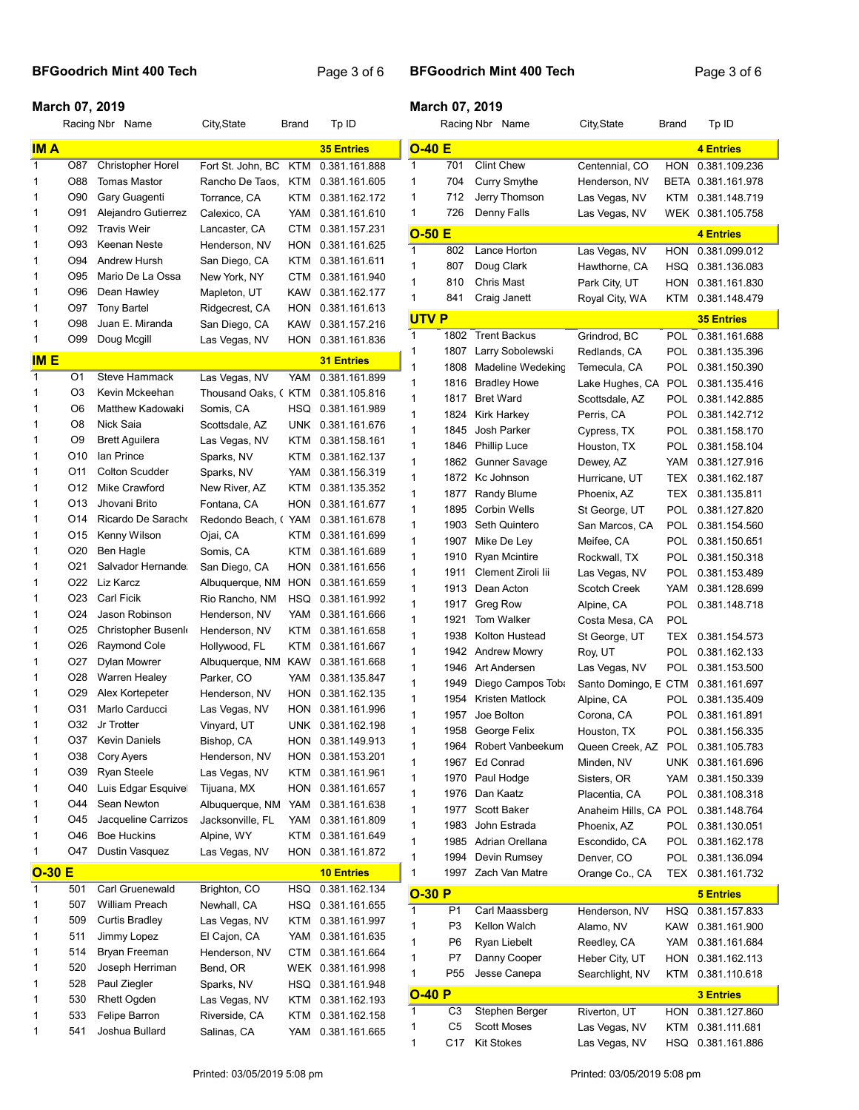## BFGoodrich Mint 400 Tech Page 3 of 6

## March 07, 2019

|              |                 | Racing Nbr Name          | City, State       | Brand      | Tp ID             |              |                 | Racing Nbr Name                       | City, State                  | Brand      | Tp ID                          |
|--------------|-----------------|--------------------------|-------------------|------------|-------------------|--------------|-----------------|---------------------------------------|------------------------------|------------|--------------------------------|
| <b>IMA</b>   |                 |                          |                   |            | <b>35 Entries</b> | $O-40 E$     |                 |                                       |                              |            | <b>4 Entries</b>               |
| $\mathbf{1}$ | O87             | <b>Christopher Horel</b> | Fort St. John. BC | KTM        | 0.381.161.888     | $\mathbf{1}$ | 701             | <b>Clint Chew</b>                     | Centennial. CO               | HON        | 0.381.109.236                  |
| 1            | O88             | <b>Tomas Mastor</b>      | Rancho De Taos,   | KTM        | 0.381.161.605     | 1            | 704             | <b>Curry Smythe</b>                   | Henderson, NV                |            | BETA 0.381.161.978             |
| 1            | O90             | Gary Guagenti            | Torrance, CA      | KTM        | 0.381.162.172     | 1            | 712             | Jerry Thomson                         | Las Vegas, NV                | KTM        | 0.381.148.719                  |
| 1            | O91             | Alejandro Gutierrez      | Calexico, CA      | YAM        | 0.381.161.610     | 1            | 726             | Denny Falls                           | Las Vegas, NV                |            | WEK 0.381.105.758              |
| 1            | O92             | <b>Travis Weir</b>       | Lancaster, CA     | <b>CTM</b> | 0.381.157.231     | $O-50E$      |                 |                                       |                              |            | <b>4 Entries</b>               |
| 1            | O93             | Keenan Neste             | Henderson, NV     | HON        | 0.381.161.625     | 1            | 802             | Lance Horton                          | Las Vegas, NV                | HON        | 0.381.099.012                  |
| 1            | O94             | Andrew Hursh             | San Diego, CA     | KTM        | 0.381.161.611     | 1            | 807             | Doug Clark                            | Hawthorne, CA                | HSQ        | 0.381.136.083                  |
| 1            | O95             | Mario De La Ossa         | New York, NY      | <b>CTM</b> | 0.381.161.940     | 1            | 810             | Chris Mast                            | Park City, UT                | HON        | 0.381.161.830                  |
| 1            | O96             | Dean Hawley              | Mapleton, UT      | <b>KAW</b> | 0.381.162.177     | $\mathbf{1}$ | 841             | Craig Janett                          | Royal City, WA               | KTM        | 0.381.148.479                  |
| 1            | O97             | <b>Tony Bartel</b>       | Ridgecrest, CA    | HON        | 0.381.161.613     |              |                 |                                       |                              |            |                                |
| 1            | O98             | Juan E. Miranda          | San Diego, CA     | <b>KAW</b> | 0.381.157.216     | <b>UTVP</b>  |                 |                                       |                              |            | <b>35 Entries</b>              |
| 1            | O99             | Doug Mcgill              | Las Vegas, NV     | HON        | 0.381.161.836     | 1            | 1802            | <b>Trent Backus</b>                   | Grindrod, BC                 | <b>POL</b> | 0.381.161.688                  |
| <b>IME</b>   |                 |                          |                   |            | <b>31 Entries</b> | 1<br>1       | 1807<br>1808    | Larry Sobolewski<br>Madeline Wedeking | Redlands, CA                 | POL<br>POL | 0.381.135.396                  |
| $\mathbf{1}$ | O1              | <b>Steve Hammack</b>     | Las Vegas, NV     | YAM        | 0.381.161.899     | 1            | 1816            | <b>Bradley Howe</b>                   | Temecula, CA                 | POL        | 0.381.150.390<br>0.381.135.416 |
| 1            | O3              | Kevin Mckeehan           | Thousand Oaks, (  | KTM        | 0.381.105.816     | $\mathbf{1}$ | 1817            | <b>Bret Ward</b>                      | Lake Hughes, CA              | POL        |                                |
| 1            | O6              | Matthew Kadowaki         | Somis, CA         | <b>HSQ</b> | 0.381.161.989     | $\mathbf{1}$ | 1824            | Kirk Harkey                           | Scottsdale, AZ               |            | 0.381.142.885<br>0.381.142.712 |
| 1            | O8              | Nick Saia                | Scottsdale, AZ    | <b>UNK</b> | 0.381.161.676     | $\mathbf{1}$ | 1845            | Josh Parker                           | Perris, CA                   | POL<br>POL | 0.381.158.170                  |
| 1            | O9              | <b>Brett Aguilera</b>    | Las Vegas, NV     | KTM        | 0.381.158.161     | 1            | 1846            | <b>Phillip Luce</b>                   | Cypress, TX<br>Houston, TX   | POL        |                                |
| 1            | O10             | lan Prince               | Sparks, NV        | <b>KTM</b> | 0.381.162.137     | 1            | 1862            | Gunner Savage                         |                              | YAM        | 0.381.158.104<br>0.381.127.916 |
| 1            | O11             | <b>Colton Scudder</b>    | Sparks, NV        | YAM        | 0.381.156.319     | $\mathbf{1}$ | 1872            | Kc Johnson                            | Dewey, AZ                    | TEX        | 0.381.162.187                  |
| 1            | O <sub>12</sub> | Mike Crawford            | New River, AZ     | KTM        | 0.381.135.352     | 1            | 1877            | Randy Blume                           | Hurricane, UT                | <b>TEX</b> | 0.381.135.811                  |
| 1            | O <sub>13</sub> | Jhovani Brito            | Fontana, CA       | HON        | 0.381.161.677     | 1            | 1895            | Corbin Wells                          | Phoenix, AZ<br>St George, UT | <b>POL</b> | 0.381.127.820                  |
| 1            | O14             | Ricardo De Saracho       | Redondo Beach, (  | YAM        | 0.381.161.678     | 1            | 1903            | Seth Quintero                         | San Marcos, CA               | POL        | 0.381.154.560                  |
| 1            | O15             | Kenny Wilson             | Ojai, CA          | KTM        | 0.381.161.699     | 1            | 1907            | Mike De Ley                           | Meifee, CA                   | POL        | 0.381.150.651                  |
| 1            | O <sub>20</sub> | Ben Hagle                | Somis, CA         | KTM        | 0.381.161.689     | 1            | 1910            | <b>Ryan Mcintire</b>                  | Rockwall, TX                 | POL        | 0.381.150.318                  |
| 1            | O21             | Salvador Hernande:       | San Diego, CA     | HON        | 0.381.161.656     | 1            | 1911            | Clement Ziroli lii                    | Las Vegas, NV                | <b>POL</b> | 0.381.153.489                  |
| 1            | O22             | Liz Karcz                | Albuquerque, NM   | HON        | 0.381.161.659     | 1            | 1913            | Dean Acton                            | Scotch Creek                 | YAM        | 0.381.128.699                  |
| 1            | O <sub>23</sub> | Carl Ficik               | Rio Rancho, NM    | HSQ        | 0.381.161.992     | 1            | 1917            | Greg Row                              | Alpine, CA                   | <b>POL</b> | 0.381.148.718                  |
| 1            | O24             | Jason Robinson           | Henderson, NV     | YAM        | 0.381.161.666     | $\mathbf{1}$ | 1921            | Tom Walker                            | Costa Mesa, CA               | POL        |                                |
| 1            | O <sub>25</sub> | Christopher Busenk       | Henderson, NV     | KTM        | 0.381.161.658     | 1            | 1938            | Kolton Hustead                        | St George, UT                | TEX        | 0.381.154.573                  |
| 1            | O <sub>26</sub> | Raymond Cole             | Hollywood, FL     | KTM        | 0.381.161.667     | 1            | 1942            | <b>Andrew Mowry</b>                   | Roy, UT                      | <b>POL</b> | 0.381.162.133                  |
| 1            | O27             | Dylan Mowrer             | Albuquerque, NM   | <b>KAW</b> | 0.381.161.668     | $\mathbf{1}$ | 1946            | Art Andersen                          | Las Vegas, NV                | POL        | 0.381.153.500                  |
| 1            | O28             | <b>Warren Healey</b>     | Parker, CO        | YAM        | 0.381.135.847     | $\mathbf{1}$ | 1949            | Diego Campos Toba                     | Santo Domingo, E CTM         |            | 0.381.161.697                  |
| 1            | O29             | Alex Kortepeter          | Henderson, NV     | HON        | 0.381.162.135     | $\mathbf{1}$ | 1954            | Kristen Matlock                       | Alpine, CA                   | POL        | 0.381.135.409                  |
| 1            | O31             | Marlo Carducci           | Las Vegas, NV     | HON        | 0.381.161.996     | 1            | 1957            | Joe Bolton                            | Corona, CA                   | <b>POL</b> | 0.381.161.891                  |
| 1            | O32             | Jr Trotter               | Vinyard, UT       | <b>UNK</b> | 0.381.162.198     | 1            | 1958            | George Felix                          | Houston, TX                  | <b>POL</b> | 0.381.156.335                  |
| 1            | O37             | <b>Kevin Daniels</b>     | Bishop, CA        | HON        | 0.381.149.913     |              | 1964            | Robert Vanbeekum                      | Queen Creek, AZ              | POL        | 0.381.105.783                  |
| 1            | O38             | Cory Ayers               | Henderson, NV     | HON        | 0.381.153.201     | 1            | 1967            | Ed Conrad                             | Minden, NV                   |            | UNK 0.381.161.696              |
| 1            | O39             | Ryan Steele              | Las Vegas, NV     | KTM        | 0.381.161.961     | 1            | 1970            | Paul Hodge                            | Sisters, OR                  | YAM        | 0.381.150.339                  |
| 1            | O40             | Luis Edgar Esquivel      | Tijuana, MX       | <b>HON</b> | 0.381.161.657     | 1            | 1976            | Dan Kaatz                             | Placentia, CA                | POL        | 0.381.108.318                  |
| 1            | O44             | Sean Newton              | Albuquerque, NM   | YAM        | 0.381.161.638     | 1            | 1977            | Scott Baker                           | Anaheim Hills, CA            | <b>POL</b> | 0.381.148.764                  |
| 1            | O45             | Jacqueline Carrizos      | Jacksonville, FL  | YAM        | 0.381.161.809     | 1            | 1983            | John Estrada                          | Phoenix, AZ                  | POL        | 0.381.130.051                  |
| 1            | O46             | <b>Boe Huckins</b>       | Alpine, WY        | KTM        | 0.381.161.649     | 1            | 1985            | Adrian Orellana                       | Escondido, CA                | <b>POL</b> | 0.381.162.178                  |
| 1            | O47             | Dustin Vasquez           | Las Vegas, NV     | <b>HON</b> | 0.381.161.872     | 1            | 1994            | Devin Rumsey                          | Denver, CO                   | <b>POL</b> | 0.381.136.094                  |
| $O-30E$      |                 |                          |                   |            | <b>10 Entries</b> | 1            | 1997            | Zach Van Matre                        | Orange Co., CA               | TEX        | 0.381.161.732                  |
| $\mathbf{1}$ | 501             | Carl Gruenewald          | Brighton, CO      | <b>HSQ</b> | 0.381.162.134     | $O-30P$      |                 |                                       |                              |            | <b>5 Entries</b>               |
| 1            | 507             | William Preach           | Newhall, CA       | HSQ        | 0.381.161.655     | 1            | P <sub>1</sub>  | Carl Maassberg                        | Henderson, NV                | HSQ        | 0.381.157.833                  |
| 1            | 509             | Curtis Bradley           | Las Vegas, NV     | KTM        | 0.381.161.997     | 1            | P <sub>3</sub>  | Kellon Walch                          | Alamo, NV                    | KAW        | 0.381.161.900                  |
| 1            | 511             | Jimmy Lopez              | El Cajon, CA      | YAM        | 0.381.161.635     | 1            | P <sub>6</sub>  | Ryan Liebelt                          | Reedley, CA                  | YAM        | 0.381.161.684                  |
| 1            | 514             | Bryan Freeman            | Henderson, NV     | <b>CTM</b> | 0.381.161.664     | 1            | P7              | Danny Cooper                          | Heber City, UT               | <b>HON</b> | 0.381.162.113                  |
| 1            | 520             | Joseph Herriman          | Bend, OR          | WEK        | 0.381.161.998     | 1            | P <sub>55</sub> | Jesse Canepa                          | Searchlight, NV              | KTM        | 0.381.110.618                  |
| 1            | 528             | Paul Ziegler             | Sparks, NV        | HSQ        | 0.381.161.948     | $O-40P$      |                 |                                       |                              |            | <b>3 Entries</b>               |
| 1            | 530             | <b>Rhett Ogden</b>       | Las Vegas, NV     | KTM        | 0.381.162.193     | 1            | C <sub>3</sub>  | Stephen Berger                        | Riverton, UT                 |            | HON 0.381.127.860              |
| 1            | 533             | Felipe Barron            | Riverside, CA     | KTM        | 0.381.162.158     | 1            | C5              | <b>Scott Moses</b>                    | Las Vegas, NV                | KTM        | 0.381.111.681                  |
| 1            | 541             | Joshua Bullard           | Salinas, CA       | YAM        | 0.381.161.665     | $\mathbf{1}$ | C17             | <b>Kit Stokes</b>                     | Las Vegas, NV                |            | HSQ 0.381.161.886              |
|              |                 |                          |                   |            |                   |              |                 |                                       |                              |            |                                |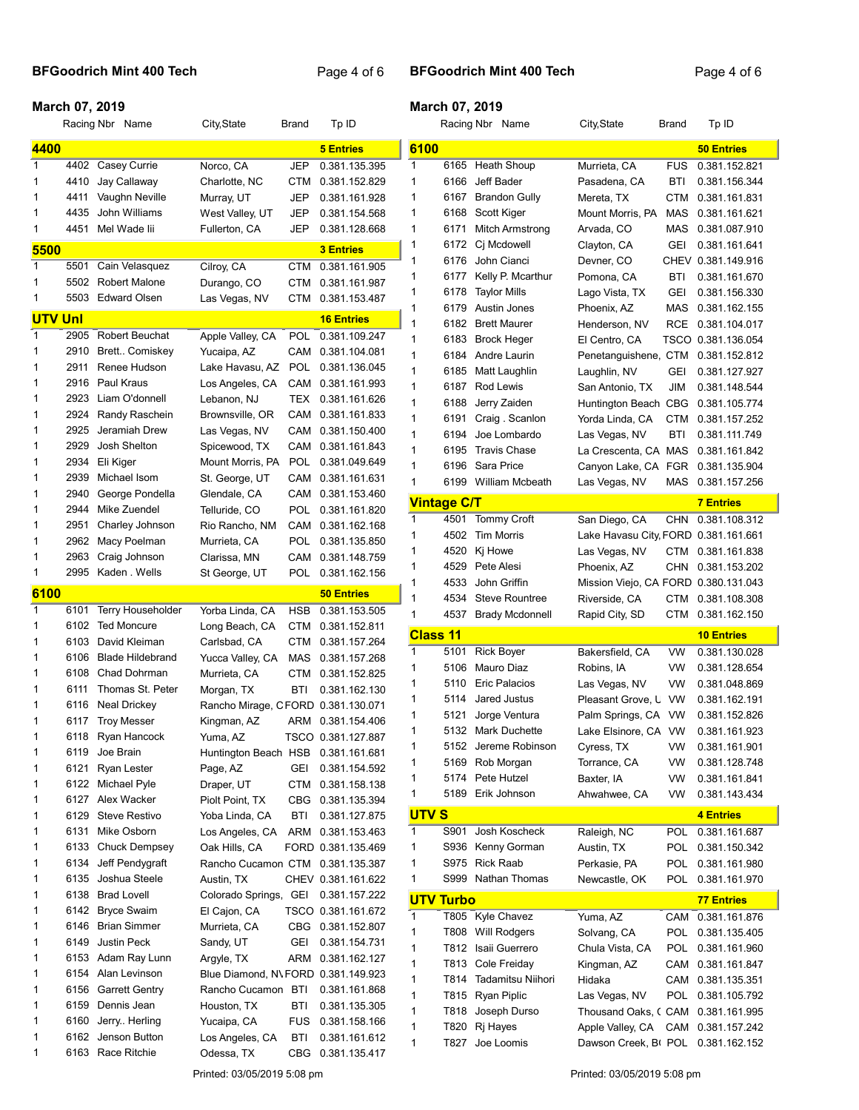# BFGoodrich Mint 400 Tech Page 4 of 6

## BFGoodrich Mint 400 Tech Page 4 of 6

## March 07, 2019

|                |              | Racing Nbr Name                              | City, State                        | Brand             | Tp ID                               |                    |                  | Racing Nbr Name                     | City, State                                    | <b>Brand</b>      | Tp ID                          |
|----------------|--------------|----------------------------------------------|------------------------------------|-------------------|-------------------------------------|--------------------|------------------|-------------------------------------|------------------------------------------------|-------------------|--------------------------------|
| 4400           |              |                                              |                                    |                   | <b>5 Entries</b>                    | 6100               |                  |                                     |                                                |                   | <b>50 Entries</b>              |
| 1              | 4402         | Casey Currie                                 | Norco, CA                          | <b>JEP</b>        | 0.381.135.395                       | 1                  |                  | 6165 Heath Shoup                    | Murrieta, CA                                   | <b>FUS</b>        | 0.381.152.821                  |
| 1              | 4410         | Jay Callaway                                 | Charlotte, NC                      | CTM               | 0.381.152.829                       | 1                  | 6166             | Jeff Bader                          | Pasadena, CA                                   | <b>BTI</b>        | 0.381.156.344                  |
| 1              | 4411         | Vaughn Neville                               | Murray, UT                         | JEP               | 0.381.161.928                       | 1                  | 6167             | <b>Brandon Gully</b>                | Mereta, TX                                     | CTM               | 0.381.161.831                  |
| 1              | 4435         | John Williams                                | West Valley, UT                    | JEP               | 0.381.154.568                       | 1                  | 6168             | Scott Kiger                         | Mount Morris, PA                               | MAS               | 0.381.161.621                  |
| 1              | 4451         | Mel Wade lii                                 | Fullerton, CA                      | <b>JEP</b>        | 0.381.128.668                       | 1                  | 6171             | Mitch Armstrong                     | Arvada, CO                                     | MAS               | 0.381.087.910                  |
| 5500           |              |                                              |                                    |                   | <b>3 Entries</b>                    | 1                  | 6172             | Cj Mcdowell                         | Clayton, CA                                    | GEI               | 0.381.161.641                  |
| 1              | 5501         | Cain Velasquez                               | Cilroy, CA                         | CTM               | 0.381.161.905                       | 1                  | 6176             | John Cianci                         | Devner, CO                                     |                   | CHEV 0.381.149.916             |
| 1              | 5502         | <b>Robert Malone</b>                         | Durango, CO                        | CTM               | 0.381.161.987                       | 1                  | 6177             | Kelly P. Mcarthur                   | Pomona, CA                                     | BTI               | 0.381.161.670                  |
| 1              |              | 5503 Edward Olsen                            | Las Vegas, NV                      |                   | CTM 0.381.153.487                   | 1<br>1             | 6178<br>6179     | <b>Taylor Mills</b><br>Austin Jones | Lago Vista, TX<br>Phoenix, AZ                  | GEI               | 0.381.156.330                  |
| <b>UTV Unl</b> |              |                                              |                                    |                   | <b>16 Entries</b>                   | 1                  | 6182             | <b>Brett Maurer</b>                 | Henderson, NV                                  | MAS<br><b>RCE</b> | 0.381.162.155<br>0.381.104.017 |
| $\mathbf{1}$   | 2905         | Robert Beuchat                               | Apple Valley, CA                   | <b>POL</b>        | 0.381.109.247                       | 1                  | 6183             | <b>Brock Heger</b>                  | El Centro, CA                                  |                   | TSCO 0.381.136.054             |
| 1              | 2910         | Brett Comiskey                               | Yucaipa, AZ                        | CAM               | 0.381.104.081                       | 1                  | 6184             | Andre Laurin                        | Penetanguishene, CTM                           |                   | 0.381.152.812                  |
| 1              | 2911         | Renee Hudson                                 | Lake Havasu, AZ                    | <b>POL</b>        | 0.381.136.045                       | 1                  | 6185             | Matt Laughlin                       | Laughlin, NV                                   | GEI               | 0.381.127.927                  |
| 1              | 2916         | Paul Kraus                                   | Los Angeles, CA                    | CAM               | 0.381.161.993                       | 1                  | 6187             | Rod Lewis                           | San Antonio, TX                                | JIM               | 0.381.148.544                  |
| 1              | 2923         | Liam O'donnell                               | Lebanon, NJ                        | TEX               | 0.381.161.626                       | 1                  | 6188             | Jerry Zaiden                        | Huntington Beach CBG                           |                   | 0.381.105.774                  |
| 1              | 2924         | Randy Raschein                               | Brownsville, OR                    | CAM               | 0.381.161.833                       | 1                  | 6191             | Craig . Scanlon                     | Yorda Linda, CA                                | <b>CTM</b>        | 0.381.157.252                  |
| 1              | 2925         | Jeramiah Drew                                | Las Vegas, NV                      | CAM               | 0.381.150.400                       | 1                  | 6194             | Joe Lombardo                        | Las Vegas, NV                                  | BTI               | 0.381.111.749                  |
| 1              | 2929         | Josh Shelton                                 | Spicewood, TX                      | CAM               | 0.381.161.843                       | 1                  | 6195             | <b>Travis Chase</b>                 | La Crescenta, CA MAS                           |                   | 0.381.161.842                  |
| 1              | 2934         | Eli Kiger                                    | Mount Morris, PA                   | <b>POL</b>        | 0.381.049.649                       | 1                  | 6196             | Sara Price                          | Canyon Lake, CA FGR                            |                   | 0.381.135.904                  |
| 1              | 2939         | Michael Isom                                 | St. George, UT                     | CAM               | 0.381.161.631                       | 1                  |                  | 6199 William Mcbeath                | Las Vegas, NV                                  |                   | MAS 0.381.157.256              |
| 1              | 2940         | George Pondella                              | Glendale, CA                       | CAM               | 0.381.153.460                       | <b>Vintage C/T</b> |                  |                                     |                                                |                   | <b>7 Entries</b>               |
| 1              | 2944         | Mike Zuendel                                 | Telluride, CO                      | POL               | 0.381.161.820                       | 1                  | 4501             | <b>Tommy Croft</b>                  | San Diego, CA                                  | CHN               | 0.381.108.312                  |
| 1              | 2951         | Charley Johnson                              | Rio Rancho, NM                     | CAM               | 0.381.162.168                       | 1                  | 4502             | <b>Tim Morris</b>                   | Lake Havasu City FORD 0.381.161.661            |                   |                                |
| 1              | 2962         | Macy Poelman                                 | Murrieta, CA                       | <b>POL</b>        | 0.381.135.850                       | 1                  | 4520             | Kj Howe                             | Las Vegas, NV                                  | CTM               | 0.381.161.838                  |
| 1<br>1         | 2963<br>2995 | Craig Johnson<br>Kaden . Wells               | Clarissa, MN                       | CAM<br><b>POL</b> | 0.381.148.759<br>0.381.162.156      | 1                  | 4529             | Pete Alesi                          | Phoenix, AZ                                    | CHN               | 0.381.153.202                  |
|                |              |                                              | St George, UT                      |                   |                                     | 1                  | 4533             | John Griffin                        | Mission Viejo, CA FORD 0.380.131.043           |                   |                                |
| 6100           |              |                                              |                                    |                   | <b>50 Entries</b>                   | 1                  | 4534             | Steve Rountree                      | Riverside, CA                                  | CTM               | 0.381.108.308                  |
| 1<br>1         | 6101         | <b>Terry Householder</b><br>6102 Ted Moncure | Yorba Linda, CA<br>Long Beach, CA  | <b>HSB</b><br>CTM | 0.381.153.505<br>0.381.152.811      | 1                  | 4537             | <b>Brady Mcdonnell</b>              | Rapid City, SD                                 | CTM               | 0.381.162.150                  |
| 1              | 6103         | David Kleiman                                | Carlsbad, CA                       | CTM               | 0.381.157.264                       | <b>Class 11</b>    |                  |                                     |                                                |                   | <b>10 Entries</b>              |
| 1              | 6106         | <b>Blade Hildebrand</b>                      | Yucca Valley, CA                   | MAS               | 0.381.157.268                       | 1                  | 5101             | <b>Rick Boyer</b>                   | Bakersfield, CA                                | <b>VW</b>         | 0.381.130.028                  |
| 1              | 6108         | <b>Chad Dohrman</b>                          | Murrieta, CA                       | CTM               | 0.381.152.825                       | 1                  | 5106             | Mauro Diaz                          | Robins, IA                                     | VW                | 0.381.128.654                  |
| 1              | 6111         | Thomas St. Peter                             | Morgan, TX                         | BTI               | 0.381.162.130                       | 1                  | 5110             | <b>Eric Palacios</b>                | Las Vegas, NV                                  | VW                | 0.381.048.869                  |
| 1              | 6116         | Neal Drickey                                 | Rancho Mirage, CFORD 0.381.130.071 |                   |                                     | 1                  | 5114             | Jared Justus                        | Pleasant Grove, L                              | VW                | 0.381.162.191                  |
| 1              | 6117         | <b>Troy Messer</b>                           | Kingman, AZ                        | ARM               | 0.381.154.406                       | 1                  | 5121             | Jorge Ventura                       | Palm Springs, CA VW                            |                   | 0.381.152.826                  |
| 1              | 6118         | Ryan Hancock                                 | Yuma, AZ                           |                   | TSCO 0.381.127.887                  | 1                  |                  | 5132 Mark Duchette                  | Lake Elsinore, CA VW                           |                   | 0.381.161.923                  |
| 1              | 6119         | Joe Brain                                    | Huntington Beach HSB               |                   | 0.381.161.681                       |                    |                  | 5152 Jereme Robinson                | Cyress, TX                                     | <b>VW</b>         | 0.381.161.901                  |
| 1              | 6121         | Ryan Lester                                  | Page, AZ                           | GEI               | 0.381.154.592                       | 1                  |                  | 5169 Rob Morgan                     | Torrance, CA                                   | VW                | 0.381.128.748                  |
| 1              | 6122         | Michael Pyle                                 | Draper, UT                         | CTM               | 0.381.158.138                       | 1<br>1             | 5174             | Pete Hutzel<br>5189 Erik Johnson    | Baxter, IA                                     | VW                | 0.381.161.841                  |
| 1              |              | 6127 Alex Wacker                             | Piolt Point, TX                    |                   | CBG 0.381.135.394                   |                    |                  |                                     | Ahwahwee, CA                                   | VW                | 0.381.143.434                  |
| 1              | 6129         | <b>Steve Restivo</b>                         | Yoba Linda, CA                     | BTI               | 0.381.127.875                       | <b>UTVS</b>        |                  |                                     |                                                |                   | 4 Entries                      |
| 1              | 6131         | Mike Osborn                                  | Los Angeles, CA                    | ARM               | 0.381.153.463                       | $\mathbf{1}$       | S901             | Josh Koscheck                       | Raleigh, NC                                    |                   | POL 0.381.161.687              |
| 1              | 6133         | <b>Chuck Dempsey</b>                         | Oak Hills, CA                      |                   | FORD 0.381.135.469                  | 1                  |                  | S936 Kenny Gorman                   | Austin, TX                                     | POL               | 0.381.150.342                  |
| 1              | 6134         | Jeff Pendygraft                              | Rancho Cucamon CTM 0.381.135.387   |                   |                                     | 1                  |                  | S975 Rick Raab                      | Perkasie, PA                                   | <b>POL</b>        | 0.381.161.980                  |
| 1              | 6135         | Joshua Steele<br>6138 Brad Lovell            | Austin, TX                         |                   | CHEV 0.381.161.622                  | 1                  |                  | S999 Nathan Thomas                  | Newcastle, OK                                  | POL               | 0.381.161.970                  |
| 1<br>1         |              | 6142 Bryce Swaim                             | Colorado Springs, GEI              |                   | 0.381.157.222<br>TSCO 0.381.161.672 |                    | <b>UTV Turbo</b> |                                     |                                                |                   | <b>77 Entries</b>              |
| 1              | 6146         | <b>Brian Simmer</b>                          | El Cajon, CA<br>Murrieta, CA       | CBG               | 0.381.152.807                       | 1                  |                  | T805 Kyle Chavez                    | Yuma, AZ                                       |                   | CAM 0.381.161.876              |
| 1              | 6149         | Justin Peck                                  |                                    | GEI               |                                     | 1                  |                  | T808 Will Rodgers                   | Solvang, CA                                    |                   | POL 0.381.135.405              |
| 1              | 6153         | Adam Ray Lunn                                | Sandy, UT<br>Argyle, TX            | ARM               | 0.381.154.731<br>0.381.162.127      | 1                  | T812             | Isaii Guerrero                      | Chula Vista, CA                                | POL               | 0.381.161.960                  |
| 1              | 6154         | Alan Levinson                                | Blue Diamond, N\FORD 0.381.149.923 |                   |                                     | 1                  | T813             | Cole Freiday                        | Kingman, AZ                                    | CAM               | 0.381.161.847                  |
| 1              | 6156         | <b>Garrett Gentry</b>                        | Rancho Cucamon BTI                 |                   | 0.381.161.868                       | 1                  | T814             | Tadamitsu Niihori                   | Hidaka                                         | CAM               | 0.381.135.351                  |
| 1              | 6159         | Dennis Jean                                  | Houston, TX                        | BTI               | 0.381.135.305                       | 1                  |                  | T815 Ryan Piplic                    | Las Vegas, NV                                  |                   | POL 0.381.105.792              |
| 1              | 6160         | Jerry Herling                                | Yucaipa, CA                        | <b>FUS</b>        | 0.381.158.166                       | 1                  |                  | T818 Joseph Durso                   | Thousand Oaks, CCAM 0.381.161.995              |                   |                                |
| 1              |              | 6162 Jenson Button                           | Los Angeles, CA                    | BTI               | 0.381.161.612                       | 1                  |                  | T820 Rj Hayes                       | Apple Valley, CA                               |                   | CAM 0.381.157.242              |
| 1              |              | 6163 Race Ritchie                            | Odessa, TX                         | CBG               | 0.381.135.417                       | 1                  | T827             | Joe Loomis                          | Dawson Creek, B <sub>1</sub> POL 0.381.162.152 |                   |                                |

Printed: 03/05/2019 5:08 pm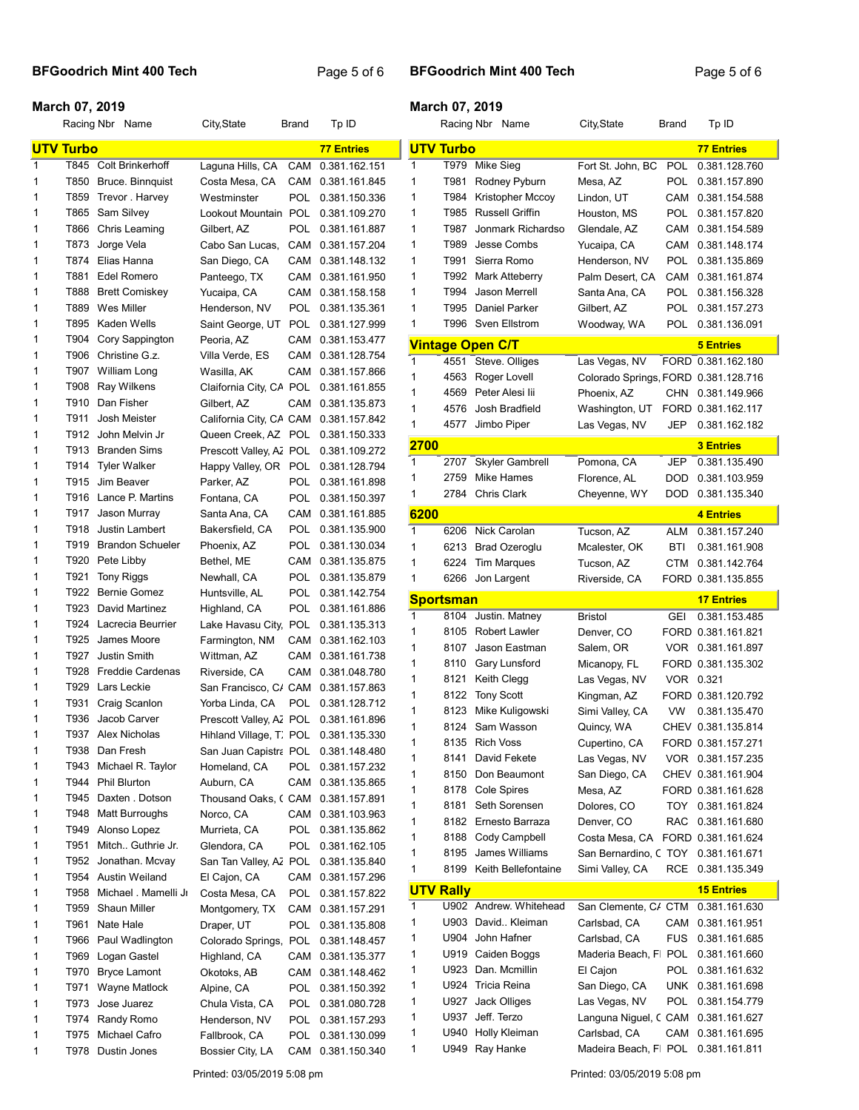# BFGoodrich Mint 400 Tech Page 5 of 6

## BFGoodrich Mint 400 Tech Page 5 of 6

## March 07, 2019

|        |                  | Racing Nbr Name                  | City, State                                                      | Brand      | Tp ID                          |                              |              | Racing Nbr Name            | City, State                                        | Brand      | Tp ID              |
|--------|------------------|----------------------------------|------------------------------------------------------------------|------------|--------------------------------|------------------------------|--------------|----------------------------|----------------------------------------------------|------------|--------------------|
|        | <b>UTV Turbo</b> |                                  |                                                                  |            | <b>77 Entries</b>              | <b>UTV Turbo</b>             |              |                            |                                                    |            | <b>77 Entries</b>  |
| 1      |                  | T845 Colt Brinkerhoff            | Laguna Hills, CA                                                 | CAM        | 0.381.162.151                  | $\mathbf{1}$                 |              | T979 Mike Sieg             | Fort St. John, BC                                  | POL        | 0.381.128.760      |
| 1      | T850             | Bruce. Binnquist                 | Costa Mesa, CA                                                   | <b>CAM</b> | 0.381.161.845                  | $\mathbf{1}$                 | T981         | Rodney Pyburn              | Mesa, AZ                                           | POL        | 0.381.157.890      |
| 1      | T859             | Trevor . Harvey                  | Westminster                                                      | POL        | 0.381.150.336                  | 1                            | T984         | Kristopher Mccoy           | Lindon, UT                                         | CAM        | 0.381.154.588      |
| 1      | T865             | Sam Silvey                       | Lookout Mountain                                                 | <b>POL</b> | 0.381.109.270                  | 1                            | T985         | <b>Russell Griffin</b>     | Houston, MS                                        | POL        | 0.381.157.820      |
| 1      | T866             | Chris Leaming                    | Gilbert, AZ                                                      | POL        | 0.381.161.887                  | 1                            | T987         | Jonmark Richardso          | Glendale, AZ                                       | CAM        | 0.381.154.589      |
| 1      | T873             | Jorge Vela                       | Cabo San Lucas,                                                  | CAM        | 0.381.157.204                  | 1                            | T989         | Jesse Combs                | Yucaipa, CA                                        | CAM        | 0.381.148.174      |
| 1      | T874             | Elias Hanna                      | San Diego, CA                                                    | CAM        | 0.381.148.132                  | 1                            | T991         | Sierra Romo                | Henderson, NV                                      | POL        | 0.381.135.869      |
| 1      | T881             | <b>Edel Romero</b>               | Panteego, TX                                                     | CAM        | 0.381.161.950                  | 1                            | T992         | <b>Mark Atteberry</b>      | Palm Desert, CA                                    | CAM        | 0.381.161.874      |
| 1      | T888             | <b>Brett Comiskey</b>            | Yucaipa, CA                                                      | CAM        | 0.381.158.158                  | 1                            | T994         | Jason Merrell              | Santa Ana, CA                                      | POL.       | 0.381.156.328      |
| 1      | T889             | Wes Miller                       | Henderson, NV                                                    | POL        | 0.381.135.361                  | $\mathbf{1}$                 | T995         | Daniel Parker              | Gilbert, AZ                                        | POL        | 0.381.157.273      |
| 1      | T895             | Kaden Wells                      | Saint George, UT                                                 | <b>POL</b> | 0.381.127.999                  | 1                            | T996         | Sven Ellstrom              | Woodway, WA                                        | POL        | 0.381.136.091      |
| 1      | T904             | Cory Sappington                  | Peoria, AZ                                                       | CAM        | 0.381.153.477                  |                              |              | <b>Vintage Open C/T</b>    |                                                    |            | <b>5 Entries</b>   |
| 1      | T906             | Christine G.z.                   | Villa Verde, ES                                                  | CAM        | 0.381.128.754                  | $\mathbf{1}$                 | 4551         | Steve. Olliges             | Las Vegas, NV                                      |            | FORD 0.381.162.180 |
| 1      | T907             | William Long                     | Wasilla, AK                                                      | CAM        | 0.381.157.866                  | $\mathbf{1}$                 | 4563         | Roger Lovell               | Colorado Springs, FORD 0.381.128.716               |            |                    |
| 1      | T908             | Ray Wilkens                      | Claifornia City, CA POL                                          |            | 0.381.161.855                  | 1                            | 4569         | Peter Alesi lii            | Phoenix, AZ                                        |            | CHN 0.381.149.966  |
| 1      | T910             | Dan Fisher                       | Gilbert, AZ                                                      | CAM        | 0.381.135.873                  | 1                            | 4576         | Josh Bradfield             | Washington, UT                                     |            | FORD 0.381.162.117 |
| 1      | T911             | Josh Meister                     | California City, CA CAM                                          |            | 0.381.157.842                  | $\mathbf{1}$                 | 4577         | Jimbo Piper                | Las Vegas, NV                                      | JEP        | 0.381.162.182      |
| 1      | T912             | John Melvin Jr                   | Queen Creek, AZ POL 0.381.150.333                                |            |                                | 2700                         |              |                            |                                                    |            | <b>3 Entries</b>   |
| 1      | T913             | <b>Branden Sims</b>              | Prescott Valley, Az POL                                          |            | 0.381.109.272                  | 1                            | 2707         | Skyler Gambrell            | Pomona, CA                                         | JEP        | 0.381.135.490      |
| 1      | T914             | <b>Tyler Walker</b>              | Happy Valley, OR POL                                             |            | 0.381.128.794                  | 1                            | 2759         | Mike Hames                 | Florence, AL                                       | <b>DOD</b> | 0.381.103.959      |
| 1      |                  | T915 Jim Beaver                  | Parker, AZ                                                       | POL        | 0.381.161.898                  | 1                            |              | 2784 Chris Clark           | Cheyenne, WY                                       | DOD.       | 0.381.135.340      |
| 1<br>1 | T917             | T916 Lance P. Martins            | Fontana, CA                                                      | POL        | 0.381.150.397<br>0.381.161.885 |                              |              |                            |                                                    |            |                    |
| 1      | T918             | Jason Murray<br>Justin Lambert   | Santa Ana, CA                                                    | CAM<br>POL |                                | 6200                         |              |                            |                                                    |            | 4 Entries          |
| 1      | T919             | <b>Brandon Schueler</b>          | Bakersfield, CA<br>Phoenix, AZ                                   | POL        | 0.381.135.900<br>0.381.130.034 | $\mathbf{1}$                 |              | 6206 Nick Carolan          | Tucson, AZ                                         | ALM        | 0.381.157.240      |
| 1      | T920             | Pete Libby                       | Bethel, ME                                                       | CAM        | 0.381.135.875                  | 1                            | 6213         | <b>Brad Ozeroglu</b>       | Mcalester, OK                                      | BTI        | 0.381.161.908      |
| 1      | T921             | <b>Tony Riggs</b>                | Newhall, CA                                                      | POL        | 0.381.135.879                  | $\mathbf{1}$<br>$\mathbf{1}$ | 6224         | <b>Tim Marques</b>         | Tucson, AZ                                         | CTM        | 0.381.142.764      |
|        |                  |                                  |                                                                  |            |                                |                              | 6266         | Jon Largent                | Riverside, CA                                      |            | FORD 0.381.135.855 |
|        |                  |                                  |                                                                  |            |                                |                              |              |                            |                                                    |            |                    |
| 1      | T922             | <b>Bernie Gomez</b>              | Huntsville, AL                                                   | POL        | 0.381.142.754                  | <b>Sportsman</b>             |              |                            |                                                    |            | <b>17 Entries</b>  |
| 1      | T923<br>T924     | David Martinez                   | Highland, CA                                                     | <b>POL</b> | 0.381.161.886                  | 1                            | 8104         | Justin. Matney             | <b>Bristol</b>                                     | GEI        | 0.381.153.485      |
| 1<br>1 | T925             | Lacrecia Beurrier<br>James Moore | Lake Havasu City,                                                | <b>POL</b> | 0.381.135.313                  | $\mathbf{1}$                 | 8105         | <b>Robert Lawler</b>       | Denver, CO                                         |            | FORD 0.381.161.821 |
| 1      | T927             | Justin Smith                     | Farmington, NM                                                   | CAM<br>CAM | 0.381.162.103<br>0.381.161.738 | $\mathbf{1}$                 | 8107         | Jason Eastman              | Salem, OR                                          |            | VOR 0.381.161.897  |
| 1      | T928             | <b>Freddie Cardenas</b>          | Wittman, AZ                                                      | CAM        |                                | $\mathbf{1}$                 | 8110         | Gary Lunsford              | Micanopy, FL                                       |            | FORD 0.381.135.302 |
| 1      | T929             | Lars Leckie                      | Riverside, CA<br>San Francisco, C/ CAM                           |            | 0.381.048.780<br>0.381.157.863 | 1                            | 8121         | Keith Clegg                | Las Vegas, NV                                      | VOR 0.321  |                    |
| 1      | T931             | Craig Scanlon                    | Yorba Linda, CA                                                  | <b>POL</b> | 0.381.128.712                  | 1                            | 8122         | <b>Tony Scott</b>          | Kingman, AZ                                        |            | FORD 0.381.120.792 |
| 1      | T936             | Jacob Carver                     |                                                                  |            | 0.381.161.896                  | 1                            | 8123         | Mike Kuligowski            | Simi Valley, CA                                    | VW         | 0.381.135.470      |
| 1      |                  | T937 Alex Nicholas               | Prescott Valley, Az POL<br>Hihland Village, T. POL 0.381.135.330 |            |                                | 1                            | 8124         | Sam Wasson                 | Quincy, WA                                         |            | CHEV 0.381.135.814 |
| 1      |                  | T938 Dan Fresh                   | San Juan Capistra POL                                            |            | 0.381.148.480                  | 1                            |              | 8135 Rich Voss             | Cupertino, CA                                      |            | FORD 0.381.157.271 |
| 1      | T943             | Michael R. Taylor                | Homeland, CA                                                     | <b>POL</b> | 0.381.157.232                  | 1                            |              | 8141 David Fekete          | Las Vegas, NV                                      |            | VOR 0.381.157.235  |
| 1      | T944             | <b>Phil Blurton</b>              | Auburn, CA                                                       | CAM        | 0.381.135.865                  | 1                            | 8150         | Don Beaumont               | San Diego, CA                                      |            | CHEV 0.381.161.904 |
| 1      | T945             | Daxten . Dotson                  | Thousand Oaks, CCAM                                              |            | 0.381.157.891                  | 1                            | 8178         | Cole Spires                | Mesa, AZ                                           |            | FORD 0.381.161.628 |
| 1      | T948             | Matt Burroughs                   | Norco, CA                                                        | CAM        | 0.381.103.963                  | 1                            | 8181         | Seth Sorensen              | Dolores, CO                                        |            | TOY 0.381.161.824  |
| 1      | T949             | Alonso Lopez                     | Murrieta, CA                                                     | POL        | 0.381.135.862                  | 1                            | 8182         | Ernesto Barraza            | Denver, CO                                         |            | RAC 0.381.161.680  |
| 1      | T951             | Mitch Guthrie Jr.                | Glendora, CA                                                     | POL        | 0.381.162.105                  | 1                            | 8188         | Cody Campbell              | Costa Mesa, CA                                     |            | FORD 0.381.161.624 |
| 1      | T952             | Jonathan. Mcvay                  | San Tan Valley, A <sub>z</sub> POL                               |            | 0.381.135.840                  | 1                            | 8195         | James Williams             | San Bernardino, C TOY                              |            | 0.381.161.671      |
| 1      | T954             | <b>Austin Weiland</b>            | El Cajon, CA                                                     | CAM        | 0.381.157.296                  | 1                            | 8199         | Keith Bellefontaine        | Simi Valley, CA                                    | RCE        | 0.381.135.349      |
| 1      | T958             | Michael . Mamelli Jr             | Costa Mesa, CA                                                   | <b>POL</b> | 0.381.157.822                  | <b>UTV Rally</b>             |              |                            |                                                    |            | <b>15 Entries</b>  |
| 1      | T959             | Shaun Miller                     | Montgomery, TX                                                   | CAM        | 0.381.157.291                  | 1                            |              | U902 Andrew. Whitehead     | San Clemente, C/ CTM                               |            | 0.381.161.630      |
| 1      | T961             | Nate Hale                        | Draper, UT                                                       | <b>POL</b> | 0.381.135.808                  | $\mathbf{1}$                 | U903         | David Kleiman              | Carlsbad, CA                                       | CAM        | 0.381.161.951      |
| 1      | T966             | Paul Wadlington                  | Colorado Springs,                                                | POL        | 0.381.148.457                  | $\mathbf{1}$                 | U904         | John Hafner                | Carlsbad, CA                                       | <b>FUS</b> | 0.381.161.685      |
| 1      | T969             | Logan Gastel                     | Highland, CA                                                     | CAM        | 0.381.135.377                  | $\mathbf{1}$                 | U919         | Caiden Boggs               | Maderia Beach, F                                   | <b>POL</b> | 0.381.161.660      |
| 1      | T970             | <b>Bryce Lamont</b>              | Okotoks, AB                                                      | CAM        | 0.381.148.462                  | $\mathbf{1}$                 | U923         | Dan. Mcmillin              | El Cajon                                           | POL        | 0.381.161.632      |
| 1      | T971             | Wayne Matlock                    | Alpine, CA                                                       | <b>POL</b> | 0.381.150.392                  | $\mathbf{1}$                 |              | U924 Tricia Reina          | San Diego, CA                                      |            | UNK 0.381.161.698  |
| 1      | T973             | Jose Juarez                      | Chula Vista, CA                                                  | POL        | 0.381.080.728                  | 1                            | U927         | Jack Olliges               | Las Vegas, NV                                      | POL        | 0.381.154.779      |
| 1      | T974             | Randy Romo                       | Henderson, NV                                                    | <b>POL</b> | 0.381.157.293                  | $\mathbf{1}$                 | U937         | Jeff. Terzo                | Languna Niguel, C CAM                              |            | 0.381.161.627      |
| 1      | T975<br>T978     | Michael Cafro<br>Dustin Jones    | Fallbrook, CA                                                    | POL        | 0.381.130.099<br>0.381.150.340 | 1<br>$\mathbf{1}$            | U940<br>U949 | Holly Kleiman<br>Ray Hanke | Carlsbad, CA<br>Madeira Beach, F POL 0.381.161.811 | CAM        | 0.381.161.695      |